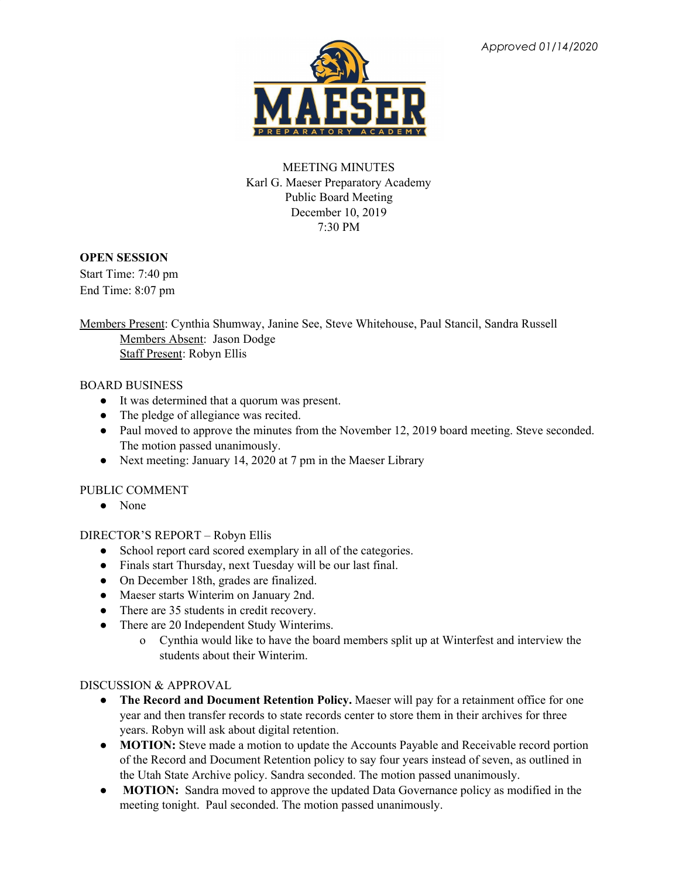

# MEETING MINUTES Karl G. Maeser Preparatory Academy Public Board Meeting December 10, 2019 7:30 PM

## **OPEN SESSION**

Start Time: 7:40 pm End Time: 8:07 pm

Members Present: Cynthia Shumway, Janine See, Steve Whitehouse, Paul Stancil, Sandra Russell Members Absent: Jason Dodge Staff Present: Robyn Ellis

### BOARD BUSINESS

- It was determined that a quorum was present.
- The pledge of allegiance was recited.
- Paul moved to approve the minutes from the November 12, 2019 board meeting. Steve seconded. The motion passed unanimously.
- Next meeting: January 14, 2020 at 7 pm in the Maeser Library

## PUBLIC COMMENT

● None

## DIRECTOR'S REPORT – Robyn Ellis

- School report card scored exemplary in all of the categories.
- Finals start Thursday, next Tuesday will be our last final.
- On December 18th, grades are finalized.
- Maeser starts Winterim on January 2nd.
- There are 35 students in credit recovery.
- There are 20 Independent Study Winterims.
	- o Cynthia would like to have the board members split up at Winterfest and interview the students about their Winterim.

## DISCUSSION & APPROVAL

- **The Record and Document Retention Policy.** Maeser will pay for a retainment office for one year and then transfer records to state records center to store them in their archives for three years. Robyn will ask about digital retention.
- **MOTION:** Steve made a motion to update the Accounts Payable and Receivable record portion of the Record and Document Retention policy to say four years instead of seven, as outlined in the Utah State Archive policy. Sandra seconded. The motion passed unanimously.
- **MOTION:** Sandra moved to approve the updated Data Governance policy as modified in the meeting tonight. Paul seconded. The motion passed unanimously.